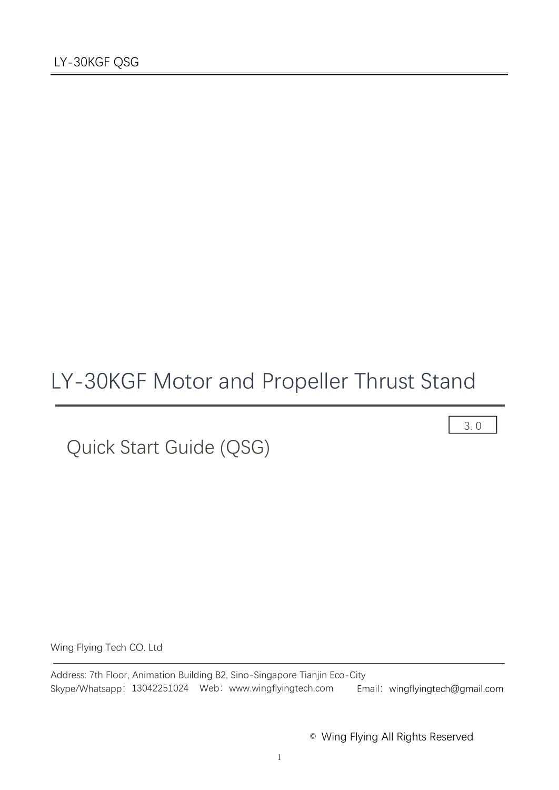# LY-30KGF Motor and Propeller Thrust Stand

Quick Start Guide (QSG)

3. 0

Wing Flying Tech CO. Ltd

Address: 7th Floor, Animation Building B2, Sino-Singapore Tianjin Eco-City Skype/Whatsapp: 13042251024 Web: www.wingflyingtech.com Email: wingflyingtech@gmail.com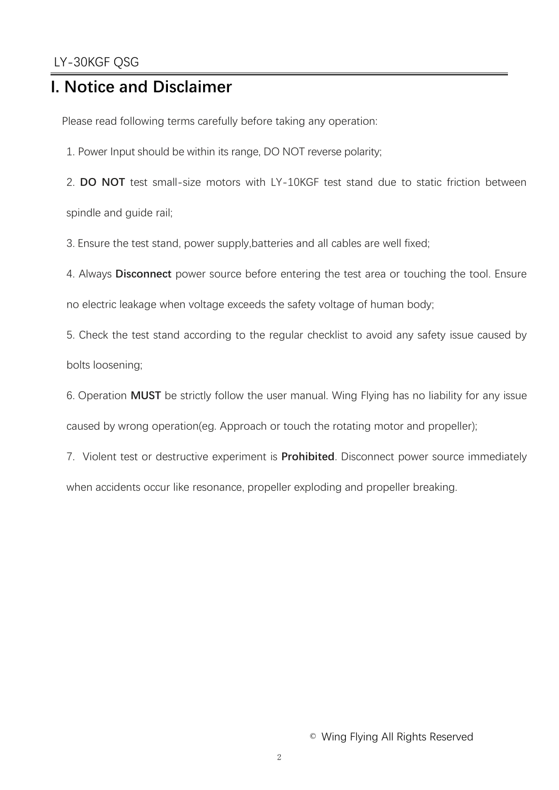## **I. Notice and Disclaimer**

Please read following terms carefully before taking any operation:

1. Power Input should be within its range, DO NOT reverse polarity;

2. **DO NOT** test small-size motors with LY-10KGF test stand due to static friction between spindle and guide rail;

3. Ensure the test stand, power supply,batteries and all cables are well fixed;

4. Always **Disconnect** power source before entering the test area or touching the tool. Ensure

no electric leakage when voltage exceeds the safety voltage of human body;

5. Check the test stand according to the regular checklist to avoid any safety issue caused by bolts loosening;

6. Operation **MUST** be strictly follow the user manual. Wing Flying has no liability for any issue caused by wrong operation(eg. Approach or touch the rotating motor and propeller);

7. Violent test or destructive experiment is **Prohibited**. Disconnect power source immediately when accidents occur like resonance, propeller exploding and propeller breaking.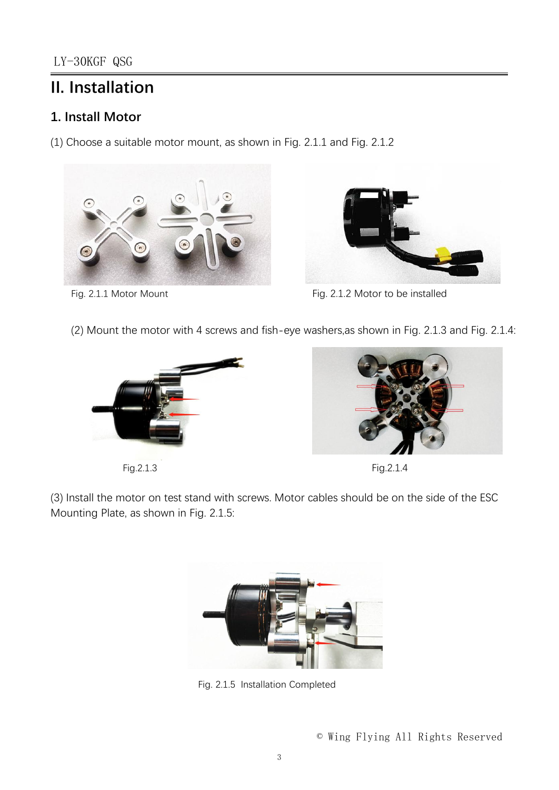## **II. Installation**

## **1. Install Motor**

(1) Choose a suitable motor mount, as shown in Fig. 2.1.1 and Fig. 2.1.2





Fig. 2.1.1 Motor Mount **Fig. 2.1.2 Motor to be installed** 

(2) Mount the motor with 4 screws and fish-eye washers,as shown in Fig. 2.1.3 and Fig. 2.1.4:



Fig.2.1.3 Fig.2.1.4



(3) Install the motor on test stand with screws. Motor cables should be on the side of the ESC Mounting Plate, as shown in Fig. 2.1.5:



Fig. 2.1.5 Installation Completed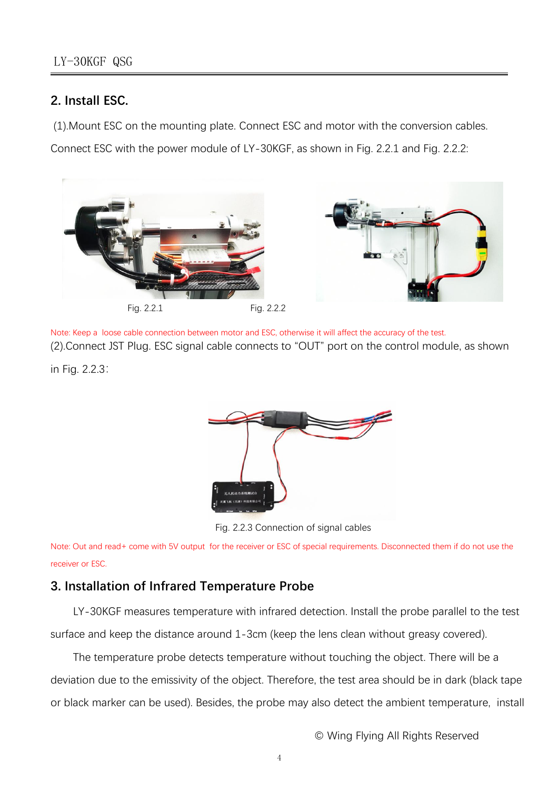## **2. Install ESC.**

(1).Mount ESC on the mounting plate. Connect ESC and motor with the conversion cables.

Connect ESC with the power module of LY-30KGF, as shown in Fig. 2.2.1 and Fig. 2.2.2:



Note: Keep a loose cable connection between motor and ESC, otherwise it will affect the accuracy of the test. (2).Connect JST Plug. ESC signal cable connects to "OUT" port on the control module, as shown

in Fig. 2.2.3:



Fig. 2.2.3 Connection of signal cables

Note: Out and read+ come with 5V output for the receiver or ESC of special requirements. Disconnected them if do not use the receiver or ESC.

## **3. Installation of Infrared Temperature Probe**

LY-30KGF measures temperature with infrared detection. Install the probe parallel to the test surface and keep the distance around 1-3cm (keep the lens clean without greasy covered).

The temperature probe detects temperature without touching the object. There will be a deviation due to the emissivity of the object. Therefore, the test area should be in dark (black tape or black marker can be used). Besides, the probe may also detect the ambient temperature, install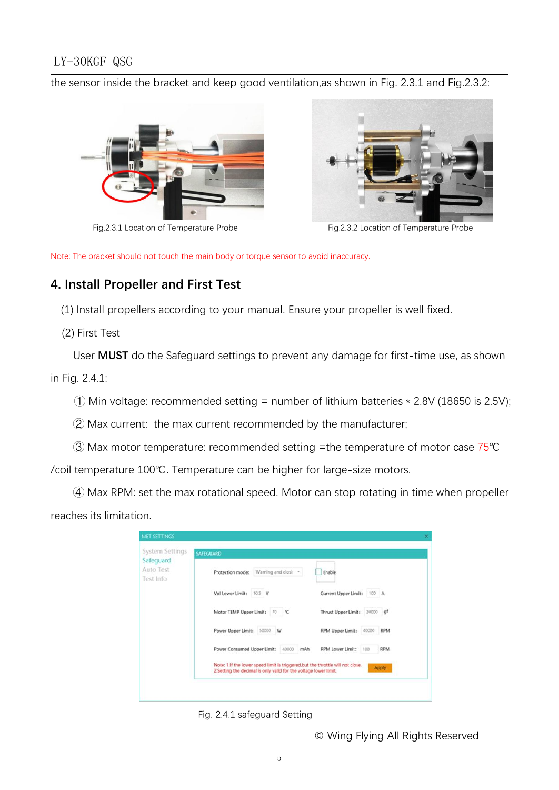## LY-30KGF QSG

the sensor inside the bracket and keep good ventilation,as shown in Fig. 2.3.1 and Fig.2.3.2:





Fig.2.3.1 Location of Temperature Probe Fig.2.3.2 Location of Temperature Probe

Note: The bracket should not touch the main body or torque sensor to avoid inaccuracy.

## **4. Install Propeller and First Test**

(1) Install propellers according to your manual. Ensure your propeller is well fixed.

(2) First Test

User **MUST** do the Safeguard settings to prevent any damage for first-time use, as shown in Fig. 2.4.1:

 $\circ$  Min voltage: recommended setting = number of lithium batteries  $*$  2.8V (18650 is 2.5V);

 $\oslash$  Max current: the max current recommended by the manufacturer;

③ Max motor temperature: recommended setting =the temperature of motor case 75℃

/coil temperature 100℃. Temperature can be higher for large-size motors.

④ Max RPM: set the max rotational speed. Motor can stop rotating in time when propeller reaches its limitation.

| System Settings<br>Safeguard | <b>SAFEGUARD</b>                                                                                                                                    |                                       |  |  |
|------------------------------|-----------------------------------------------------------------------------------------------------------------------------------------------------|---------------------------------------|--|--|
| Auto Test<br>Test Info       | Protection mode: Warning and closi: *                                                                                                               | Enable                                |  |  |
|                              | Vol Lower Limit: 10.5 V                                                                                                                             | Current Upper Limit:<br>100 A         |  |  |
|                              | Motor TEMP Upper Limit:<br>70 °C                                                                                                                    | 20000 gf<br>Thrust Upper Limit:       |  |  |
|                              | 50000 W<br>Power Upper Limit:                                                                                                                       | 40000 RPM<br>RPM Upper Limit:         |  |  |
|                              | Power Consumed Upper Limit: 40000 mAh                                                                                                               | RPM Lower Limit:<br><b>RPM</b><br>100 |  |  |
|                              | Note: 1.If the lower speed limit is triggered, but the throttle will not close.<br>2.Setting the decimal is only valid for the voltage lower limit. | Apply                                 |  |  |

Fig. 2.4.1 safeguard Setting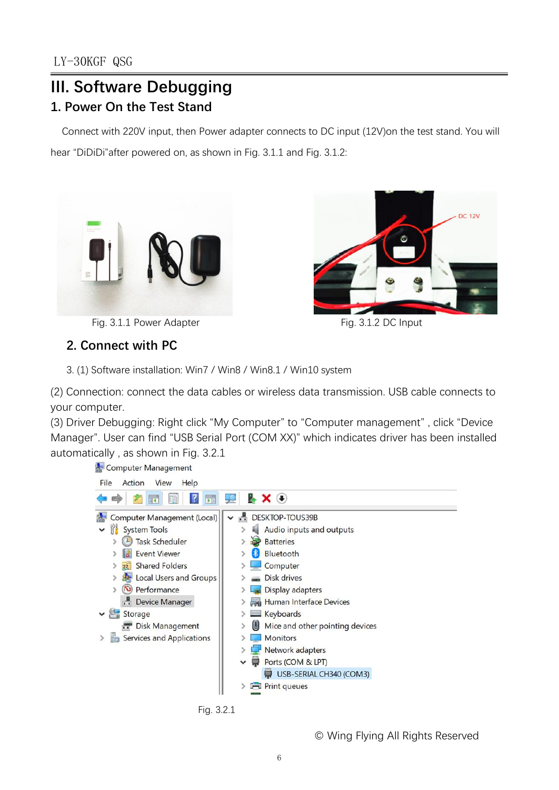## **III. Software Debugging 1. Power On the Test Stand**

Connect with 220V input, then Power adapter connects to DC input (12V)on the test stand.You will hear "DiDiDi"after powered on, as shown in Fig. 3.1.1 and Fig. 3.1.2:





Fig. 3.1.1 Power Adapter Fig. 3.1.2 DC Input

# **2. Connect with PC**

3. (1) Software installation: Win7 / Win8 / Win8.1 / Win10 system

(2) Connection: connect the data cables or wireless data transmission. USB cable connects to your computer.

(3) Driver Debugging: Right click "My Computer" to "Computer management" , click "Device Manager". User can find "USB Serial Port (COM XX)" which indicates driver has been installed automatically , as shown in Fig. 3.2.1

**A** Computer Management



Fig. 3.2.1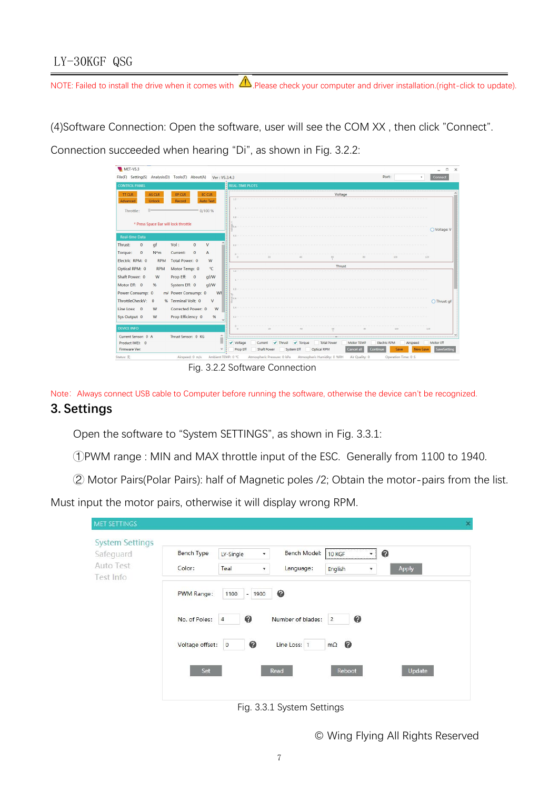## LY-30KGF QSG

NOTE: Failed to install the drive when it comes with  $\bigtriangleup$  Please check your computer and driver installation.(right-click to update).

(4)Software Connection: Open the software, user will see the COM XX, then click "Connect".<br>Connection succeeded when hearing "Di", as shown in Fig. 3.2.2:



Fig. 3.2.2 Software Connection

Note: Always connect USB cable to Computer before running the software, otherwise the device can't be recognized.

### **3. Settings**

Open the software to "System SETTINGS", as shown in Fig. 3.3.1:

- ①PWM range : MIN and MAX throttle input of the ESC. Generally from 1100 to 1940.
- ② Motor Pairs(Polar Pairs): half of Magnetic poles /2; Obtain the motor-pairs from the list.

Must input the motor pairs, otherwise it will display wrong RPM.

|                             |                                                    |                           |                                                                           | $\pmb{\times}$    |
|-----------------------------|----------------------------------------------------|---------------------------|---------------------------------------------------------------------------|-------------------|
| <b>Bench Type</b><br>Color: | LY-Single<br>$\overline{\phantom{a}}$<br>Teal<br>۰ | Bench Model:<br>Language: | 10 KGF<br>$\overline{\phantom{a}}$<br>English<br>$\overline{\phantom{a}}$ | ◉<br>Apply        |
| PWM Range:<br>No. of Poles: | 1100<br>$\sim$<br>1900<br>◉<br>$\overline{4}$      | ◉                         | ◉<br>$\overline{2}$                                                       |                   |
| Set                         | ◎<br>$\circ$                                       | Line Loss: 1              | $\bullet$<br>$m\Omega$<br>Reboot                                          | Update            |
|                             |                                                    | Voltage offset:           | Read                                                                      | Number of blades: |

Fig. 3.3.1 System Settings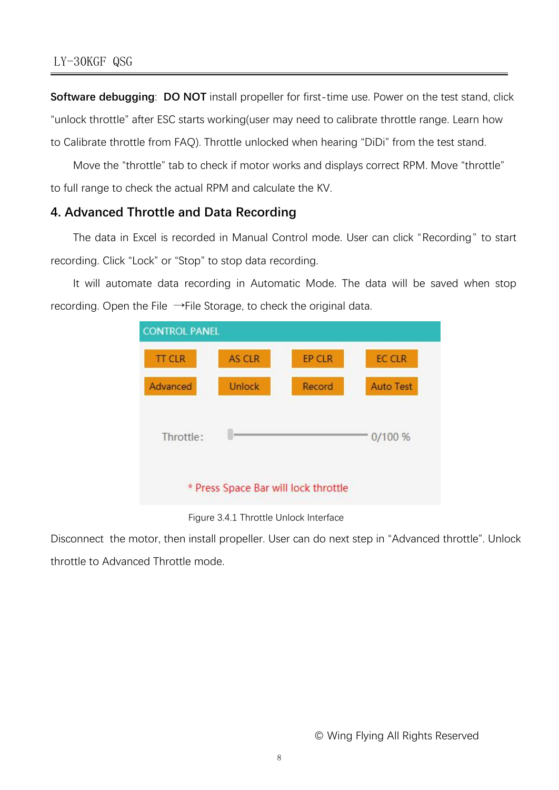**Software debugging: DO NOT** install propeller for first-time use. Power on the test stand, click "unlock throttle" after ESC starts working(user may need to calibrate throttle range. Learn how to Calibrate throttle from FAQ). Throttle unlocked when hearing "DiDi" from the test stand.

Move the "throttle" tab to check if motor works and displays correct RPM. Move "throttle" to full range to check the actual RPM and calculate the KV.

#### **4. Advanced Throttle and Data Recording**

The data in Excel is recorded in Manual Control mode. User can click "Recording" to start recording. Click "Lock" or "Stop" to stop data recording.

It will automate data recording in Automatic Mode. The data will be saved when stop recording. Open the File  $\rightarrow$ File Storage, to check the original data.



#### Figure 3.4.1 Throttle Unlock Interface

Disconnect the motor, then install propeller. User can do next step in "Advanced throttle". Unlock throttle to Advanced Throttle mode.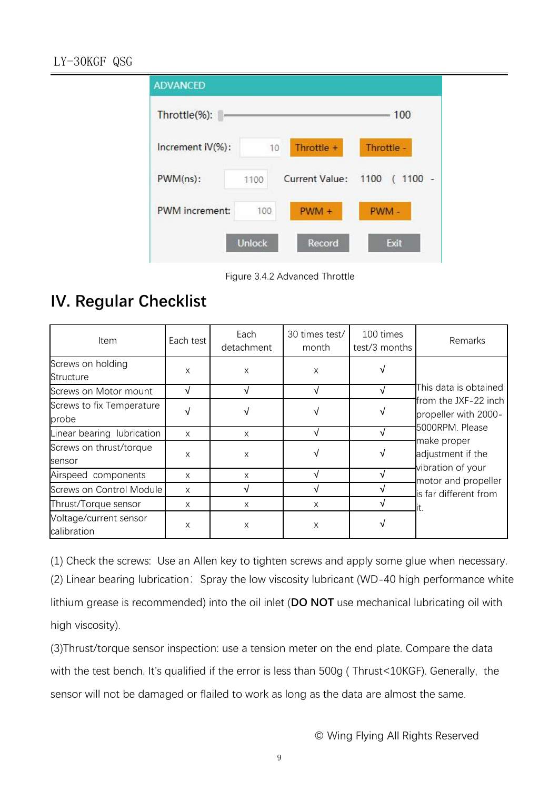

Figure 3.4.2 Advanced Throttle

## **IV. Regular Checklist**

| Item                                  | Each test | Each<br>detachment | 30 times test/<br>month | 100 times<br>test/3 months | Remarks                                                                                                                                                                                           |  |
|---------------------------------------|-----------|--------------------|-------------------------|----------------------------|---------------------------------------------------------------------------------------------------------------------------------------------------------------------------------------------------|--|
| Screws on holding<br>Structure        | X         | X                  | X                       |                            | This data is obtained<br>from the JXF-22 inch<br>propeller with 2000-<br>5000RPM. Please<br>make proper<br>adjustment if the<br>vibration of your<br>motor and propeller<br>is far different from |  |
| Screws on Motor mount                 | V         | V                  | V                       | V                          |                                                                                                                                                                                                   |  |
| Screws to fix Temperature<br>probe    |           |                    |                         |                            |                                                                                                                                                                                                   |  |
| Linear bearing lubrication            | X         | X                  |                         |                            |                                                                                                                                                                                                   |  |
| Screws on thrust/torque<br>sensor     | X         | X                  |                         |                            |                                                                                                                                                                                                   |  |
| Airspeed components                   | X         | X                  |                         |                            |                                                                                                                                                                                                   |  |
| Screws on Control Module              | X         | V                  |                         |                            |                                                                                                                                                                                                   |  |
| Thrust/Torque sensor                  | X         | X                  | X                       |                            |                                                                                                                                                                                                   |  |
| Voltage/current sensor<br>calibration | X         | X                  | X                       |                            |                                                                                                                                                                                                   |  |

(1) Check the screws: Use an Allen key to tighten screws and apply some glue when necessary. (2) Linear bearing lubrication: Spray the low viscosity lubricant (WD-40 high performance white lithium grease is recommended) into the oil inlet (**DO NOT** use mechanical lubricating oil with high viscosity).

(3)Thrust/torque sensor inspection: use a tension meter on the end plate. Compare the data with the test bench. It's qualified if the error is less than 500g ( Thrust<10KGF). Generally, the sensor will not be damaged or flailed to work as long as the data are almost the same.